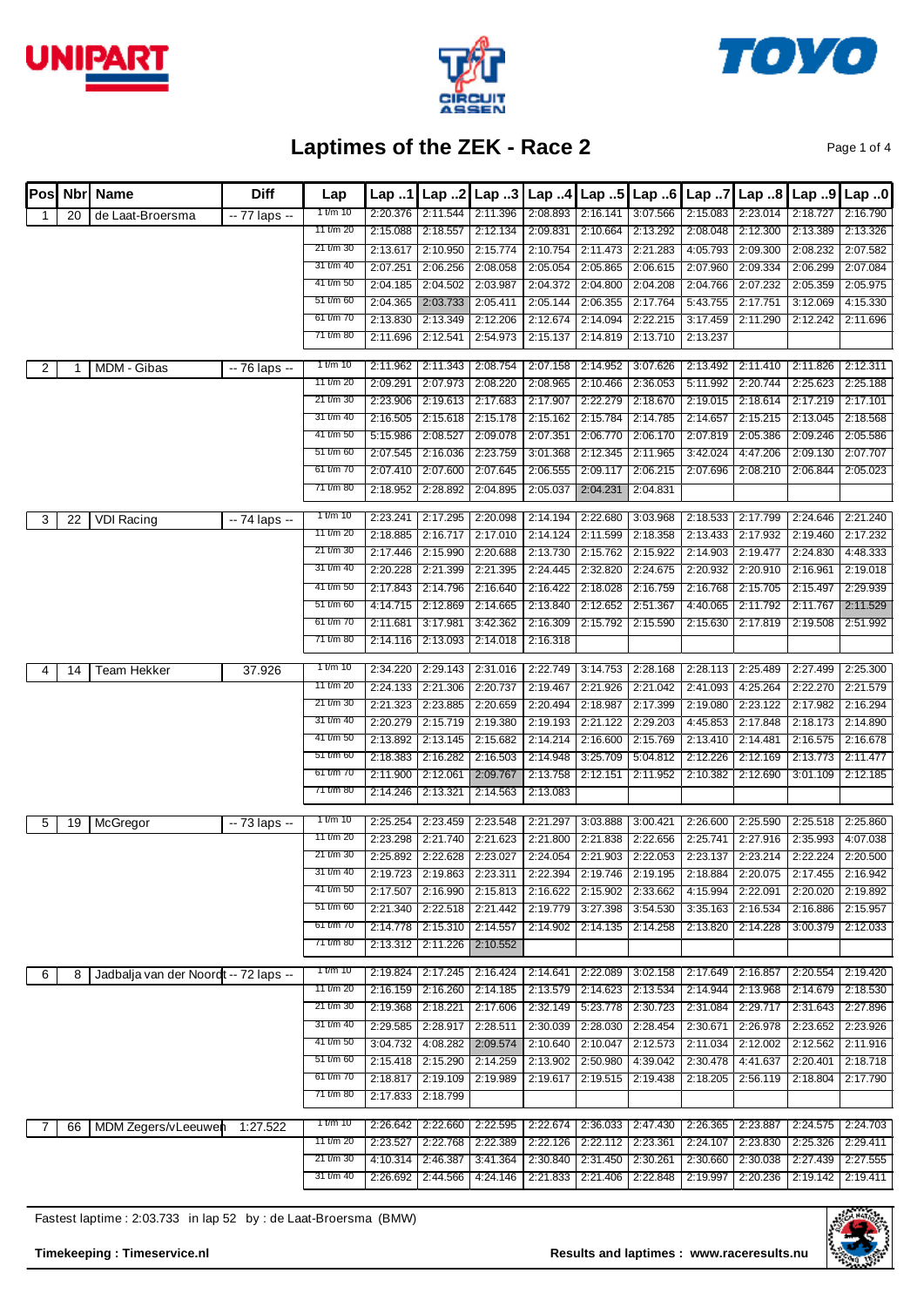





Page 1 of 4

| <b>IPosl</b> | <b>Nbrl</b> | <b>Name</b>                           | <b>Diff</b>    | Lap                    | Lap.1    | Lap 2                         | Lap.3                | Lap.4                | Lap.5                                  | Lap.6    | Lap.7                | Lap.8                | Lap 9             | Lap.0                         |
|--------------|-------------|---------------------------------------|----------------|------------------------|----------|-------------------------------|----------------------|----------------------|----------------------------------------|----------|----------------------|----------------------|-------------------|-------------------------------|
| 1            | 20          | de Laat-Broersma                      | -- 77 laps --  | 1 t/m 10               | 2:20.376 | 2:11.544                      | 2:11.396             | 2:08.893             | 2:16.141                               | 3:07.566 | 2:15.083             | 2:23.014             | 2:18.727          | 2:16.790                      |
|              |             |                                       |                | 11 t/m 20              | 2:15.088 | 2:18.557                      | 2:12.134             | 2:09.831             | 2:10.664                               | 2:13.292 | 2:08.048             | 2:12.300             | 2:13.389          | 2:13.326                      |
|              |             |                                       |                | 21 t/m 30              | 2:13.617 | 2:10.950                      | 2:15.774             | 2:10.754             | 2:11.473                               | 2:21.283 | 4:05.793             | 2:09.300             | 2:08.232          | 2:07.582                      |
|              |             |                                       |                | 31 t/m 40              | 2:07.251 | 2:06.256                      | 2:08.058             | 2:05.054             | 2:05.865                               | 2:06.615 | 2:07.960             | 2:09.334             | 2:06.299          | 2:07.084                      |
|              |             |                                       |                | 41 t/m 50              | 2:04.185 | 2:04.502                      | 2:03.987             | 2:04.372             | 2:04.800                               | 2:04.208 | 2:04.766             | 2:07.232             | 2:05.359          | 2:05.975                      |
|              |             |                                       |                | 51 t/m 60              | 2:04.365 | 2:03.733                      | 2:05.411             | 2:05.144             | 2:06.355                               | 2:17.764 | 5:43.755             | 2:17.751             | 3:12.069          | 4:15.330                      |
|              |             |                                       |                | 61 t/m 70              | 2:13.830 | 2:13.349                      | 2:12.206             | 2:12.674             | 2:14.094                               | 2:22.215 | 3:17.459             | 2:11.290             | 2:12.242          | 2:11.696                      |
|              |             |                                       |                | 71 t/m 80              | 2:11.696 | 2:12.541                      | 2:54.973             | 2:15.137             | 2:14.819                               | 2:13.710 | 2:13.237             |                      |                   |                               |
| 2            |             | MDM - Gibas                           | -- 76 laps --  | 1 t/m 10               | 2:11.962 | 2:11.343                      | 2:08.754             | 2:07.158             | 2:14.952                               | 3:07.626 | 2:13.492             | 2:11.410             | 2:11.826          | 2:12.311                      |
|              |             |                                       |                | 11 t/m 20              | 2:09.291 | 2:07.973                      | 2:08.220             | 2:08.965             | 2:10.466                               | 2:36.053 | 5:11.992             | 2:20.744             | 2:25.623          | 2:25.188                      |
|              |             |                                       |                | 21 t/m 30              | 2:23.906 | 2:19.613                      | 2:17.683             | 2:17.907             | 2:22.279                               | 2:18.670 | 2:19.015             | 2:18.614             | 2:17.219          | 2:17.101                      |
|              |             |                                       |                | 31 t/m 40              | 2:16.505 | 2:15.618                      | 2:15.178             | 2:15.162             | 2:15.784                               | 2:14.785 | 2:14.657             | 2:15.215             | 2:13.045          | 2:18.568                      |
|              |             |                                       |                | 41 t/m 50              | 5:15.986 | 2:08.527                      | 2:09.078             | 2:07.351             | 2:06.770                               | 2:06.170 | 2:07.819             | 2:05.386             | 2:09.246          | 2:05.586                      |
|              |             |                                       |                | 51 t/m 60              | 2:07.545 | 2:16.036                      | 2:23.759             | 3:01.368             | 2:12.345                               | 2:11.965 | 3:42.024             | 4:47.206             | 2:09.130          | 2:07.707                      |
|              |             |                                       |                | 61 t/m 70              | 2:07.410 | 2:07.600                      | 2:07.645             | 2:06.555             | 2:09.117                               | 2:06.215 | 2:07.696             | 2:08.210             | 2:06.844          | 2:05.023                      |
|              |             |                                       |                | 71 t/m 80              | 2:18.952 | 2:28.892                      | 2:04.895             | 2:05.037             | 2:04.231                               | 2:04.831 |                      |                      |                   |                               |
| 3            | 22          | <b>VDI Racing</b>                     | -- 74 laps --  | 1 t/m $10$             | 2:23.241 | 2:17.295                      | 2:20.098             | 2:14.194             | 2:22.680                               | 3:03.968 | 2:18.533             | 2:17.799             | 2:24.646          | 2:21.240                      |
|              |             |                                       |                | 11 t/m 20              | 2:18.885 | 2:16.717                      | 2:17.010             | 2:14.124             | 2:11.599                               | 2:18.358 | 2:13.433             | 2:17.932             | 2:19.460          | 2:17.232                      |
|              |             |                                       |                | 21 t/m 30              | 2:17.446 | 2:15.990                      | 2:20.688             | 2:13.730             | 2:15.762                               | 2:15.922 | 2:14.903             | 2:19.477             | 2:24.830          | 4:48.333                      |
|              |             |                                       |                | 31 t/m 40              | 2:20.228 | 2:21.399                      | 2:21.395             | 2:24.445             | 2:32.820                               | 2:24.675 | 2:20.932             | 2:20.910             | 2:16.961          | 2:19.018                      |
|              |             |                                       |                | 41 t/m 50              | 2:17.843 | 2:14.796                      | 2:16.640             | 2:16.422             | 2:18.028                               | 2:16.759 | 2:16.768             | 2:15.705             | 2:15.497          | 2:29.939                      |
|              |             |                                       |                | 51 t/m 60              | 4:14.715 | 2:12.869                      | 2:14.665             | 2:13.840             | 2:12.652                               | 2:51.367 | 4:40.065             | 2:11.792             | 2:11.767          | 2:11.529                      |
|              |             |                                       |                | 61 t/m 70              | 2:11.681 | 3:17.981                      | 3:42.362             | 2:16.309             | 2:15.792                               | 2:15.590 | 2:15.630             | 2:17.819             | 2:19.508          | 2:51.992                      |
|              |             |                                       |                | 71 t/m 80              | 2:14.116 | 2:13.093                      | 2:14.018             | 2:16.318             |                                        |          |                      |                      |                   |                               |
|              |             | <b>Team Hekker</b>                    | 37.926         | 1 t/m 10               | 2:34.220 | 2:29.143                      | 2:31.016             | 2:22.749             | 3:14.753                               | 2:28.168 | 2:28.113             | 2:25.489             | 2:27.499          | 2:25.300                      |
| 4            | 14          |                                       |                | 11 t/m 20              | 2:24.133 | 2:21.306                      | 2:20.737             | 2:19.467             | 2:21.926                               | 2:21.042 | 2:41.093             | 4:25.264             | 2:22.270          | 2:21.579                      |
|              |             |                                       |                | 21 t/m 30              | 2:21.323 | 2:23.885                      | 2:20.659             | 2:20.494             | 2:18.987                               | 2:17.399 | 2:19.080             | 2:23.122             | 2:17.982          | 2:16.294                      |
|              |             |                                       |                | 31 t/m 40              | 2:20.279 | 2:15.719                      | 2:19.380             | 2:19.193             | 2:21.122                               | 2:29.203 | 4:45.853             | 2:17.848             | 2:18.173          | 2:14.890                      |
|              |             |                                       |                | 41 t/m 50              | 2:13.892 | 2:13.145                      | 2:15.682             | 2:14.214             | 2:16.600                               | 2:15.769 | 2:13.410             | 2:14.481             | 2:16.575          | 2:16.678                      |
|              |             |                                       |                | 51 t/m 60              | 2:18.383 | 2:16.282                      | 2:16.503             | 2:14.948             | 3:25.709                               | 5:04.812 | 2:12.226             | 2:12.169             | 2:13.773          | 2:11.477                      |
|              |             |                                       |                | 61 t/m 70              | 2:11.900 | 2:12.061                      | 2:09.767             | 2:13.758             | 2:12.151                               | 2:11.952 | 2:10.382             | 2:12.690             | 3:01.109          | 2:12.185                      |
|              |             |                                       |                | 71 t/m 80              | 2:14.246 | 2:13.321                      | 2:14.563             | 2:13.083             |                                        |          |                      |                      |                   |                               |
|              |             |                                       |                |                        |          |                               |                      |                      |                                        |          |                      |                      |                   |                               |
| 5            | 19          | McGregor                              | $-73$ laps $-$ | 1 t/m 10               | 2:25.254 | 2:23.459                      | 2:23.548             | 2:21.297             | 3:03.888                               | 3:00.421 | 2:26.600             | 2:25.590             | 2:25.518          | 2:25.860                      |
|              |             |                                       |                | 11 t/m 20<br>21 t/m 30 | 2:23.298 | 2:21.740                      | 2:21.623             | 2:21.800             | 2:21.838                               | 2:22.656 | 2:25.741             | 2:27.916             | 2:35.993          | 4:07.038                      |
|              |             |                                       |                |                        | 2:25.892 | 2:22.628                      | 2:23.027             | 2:24.054             | 2:21.903                               | 2:22.053 | 2:23.137             | 2:23.214             | 2:22.224          | 2:20.500                      |
|              |             |                                       |                | 31 t/m 40<br>41 t/m 50 |          | 2:19.723 2:19.863<br>2:16.990 | 2:23.311             | 2:22.394<br>2:16.622 | 2:19.746 2:19.195<br>2:15.902 2:33.662 |          |                      | 2:18.884 2:20.075    | 2:17.455 2:16.942 |                               |
|              |             |                                       |                | 51 t/m 60              | 2:17.507 | 2:21.340 2:22.518             | 2:15.813<br>2:21.442 | 2:19.779             | 3:27.398                               | 3:54.530 | 4:15.994<br>3:35.163 | 2:22.091<br>2:16.534 | 2:16.886          | 2:20.020 2:19.892<br>2:15.957 |
|              |             |                                       |                | 61 t/m 70              |          | 2:14.778 2:15.310             | 2:14.557             | 2:14.902             | 2:14.135                               |          |                      |                      |                   |                               |
|              |             |                                       |                | 71 t/m 80              | 2:13.312 | 2:11.226                      | 2:10.552             |                      |                                        | 2:14.258 | 2:13.820             | 2:14.228             | 3:00.379 2:12.033 |                               |
|              |             |                                       |                |                        |          |                               |                      |                      |                                        |          |                      |                      |                   |                               |
| 6            | 8           | Jadbalja van der Noordt -- 72 laps -- |                | 1 t/m 10               |          | 2:19.824 2:17.245             | 2:16.424             |                      | 2:14.641 2:22.089                      | 3:02.158 | 2:17.649             | 2:16.857             | 2:20.554          | 2:19.420                      |
|              |             |                                       |                | 11 t/m 20              | 2:16.159 | 2:16.260                      | 2:14.185             | 2:13.579             | 2:14.623                               | 2:13.534 | 2:14.944             | 2:13.968             | 2:14.679          | 2:18.530                      |
|              |             |                                       |                | 21 t/m 30              | 2:19.368 | 2:18.221                      | 2:17.606             | 2:32.149             | 5:23.778                               | 2:30.723 | 2:31.084             | 2:29.717             | 2:31.643          | 2:27.896                      |
|              |             |                                       |                | 31 t/m 40              | 2:29.585 | 2:28.917                      | 2:28.511             | 2:30.039             | 2:28.030                               | 2:28.454 | 2:30.671             | 2:26.978             | 2:23.652          | 2:23.926                      |
|              |             |                                       |                | 41 t/m 50              | 3:04.732 | 4:08.282                      | 2:09.574             | 2:10.640             | 2:10.047                               | 2:12.573 | 2:11.034             | 2:12.002             | 2:12.562          | 2:11.916                      |
|              |             |                                       |                | 51 t/m 60              |          | 2:15.418 2:15.290             | 2:14.259             | 2:13.902             | 2:50.980                               | 4:39.042 | 2:30.478             | 4:41.637             | 2:20.401          | 2:18.718                      |
|              |             |                                       |                | 61 t/m 70              | 2:18.817 | 2:19.109                      | 2:19.989             | 2:19.617             | 2:19.515                               | 2:19.438 | 2:18.205             | 2:56.119             | 2:18.804          | 2:17.790                      |
|              |             |                                       |                | 71 t/m 80              |          | 2:17.833 2:18.799             |                      |                      |                                        |          |                      |                      |                   |                               |
|              | 66          | MDM Zegers/vLeeuwen                   | 1:27.522       | 1 t/m $10$             |          | 2:26.642 2:22.660             | 2:22.595             |                      | 2:22.674 2:36.033 2:47.430             |          | 2:26.365             | 2:23.887             | 2:24.575 2:24.703 |                               |
|              |             |                                       |                | 11 t/m 20              | 2:23.527 | 2:22.768                      | 2:22.389             | 2:22.126             | 2:22.112                               | 2:23.361 | 2:24.107             | 2:23.830             | 2:25.326          | 2:29.411                      |
|              |             |                                       |                | 21 t/m 30              | 4:10.314 | 2:46.387                      | 3:41.364             | 2:30.840             | 2:31.450                               | 2:30.261 | 2:30.660             | 2:30.038             | 2:27.439          | 2:27.555                      |
|              |             |                                       |                | 31 t/m 40              | 2:26.692 | 2:44.566                      | 4:24.146             | 2:21.833             | 2:21.406                               | 2:22.848 | 2:19.997             | 2:20.236             | 2:19.142          | 2:19.411                      |
|              |             |                                       |                |                        |          |                               |                      |                      |                                        |          |                      |                      |                   |                               |

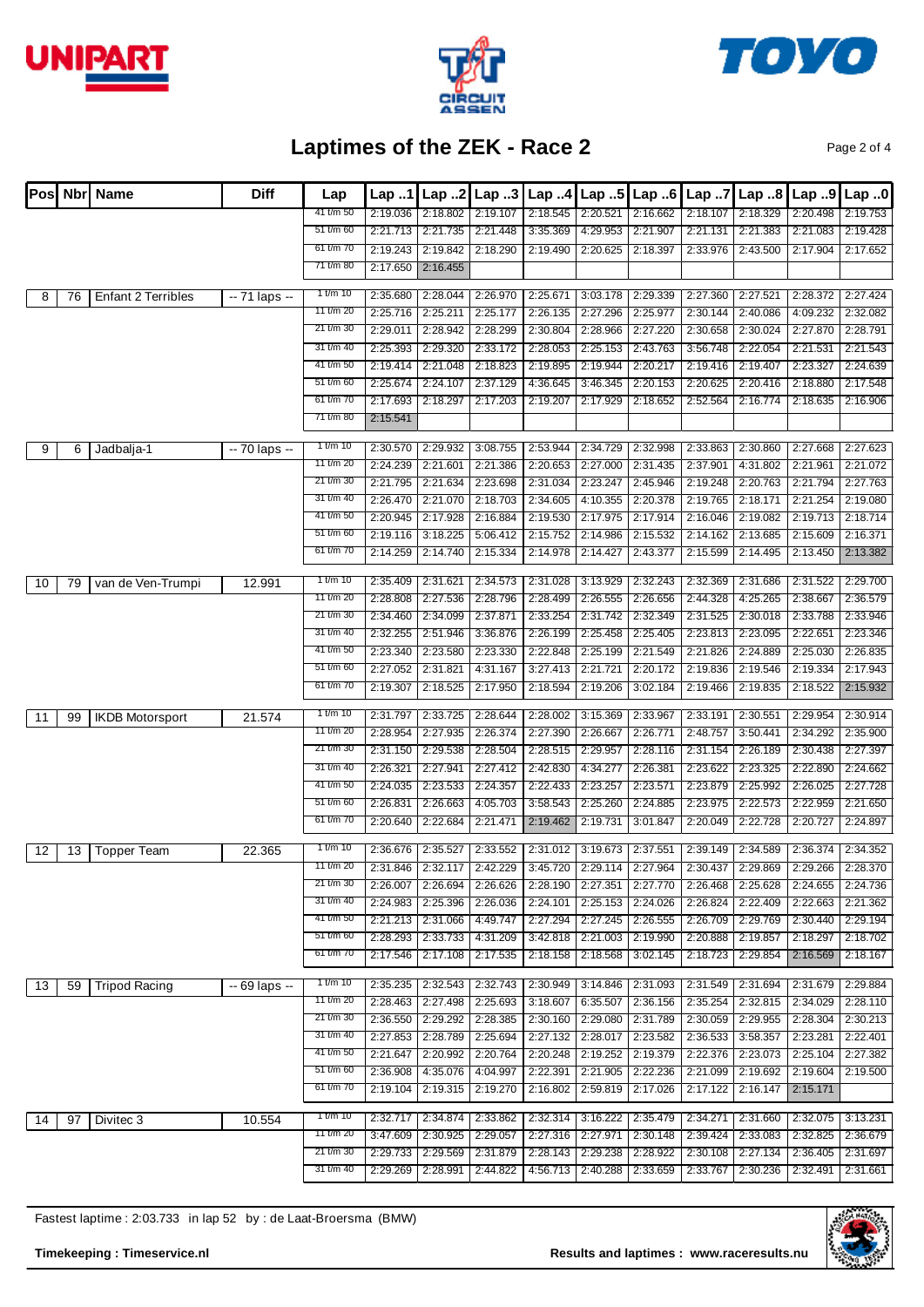





Page 2 of 4

| lPosl |    | Nbr Name               | <b>Diff</b>    | Lap                    | Lap.1                | Lap.2                | Lap.3                | Lap.4                | Lap.5                | Lap.6                | Lap 7                | Lap.8                                                                                     | Lap 9                | Lap.0                |
|-------|----|------------------------|----------------|------------------------|----------------------|----------------------|----------------------|----------------------|----------------------|----------------------|----------------------|-------------------------------------------------------------------------------------------|----------------------|----------------------|
|       |    |                        |                | 41 t/m 50              | 2:19.036             | 2:18.802             | 2:19.107             | 2:18.545             | 2:20.521             | 2:16.662             | 2:18.107             | 2:18.329                                                                                  | 2:20.498             | 2:19.753             |
|       |    |                        |                | 51 t/m 60              | 2:21.713             | 2:21.735             | 2:21.448             | 3:35.369             | 4:29.953             | 2:21.907             | 2:21.131             | 2:21.383                                                                                  | 2:21.083             | 2:19.428             |
|       |    |                        |                | 61 t/m 70<br>71 t/m 80 | 2:19.243             | 2:19.842             | 2:18.290             | 2:19.490             | 2:20.625             | 2:18.397             | 2:33.976             | 2:43.500                                                                                  | 2:17.904             | 2:17.652             |
|       |    |                        |                |                        | 2:17.650             | 2:16.455             |                      |                      |                      |                      |                      |                                                                                           |                      |                      |
| 8     | 76 | Enfant 2 Terribles     | $-71$ laps $-$ | 1 t/m 10               | 2:35.680             | 2:28.044             | 2:26.970             | 2:25.671             | 3:03.178             | 2:29.339             | 2:27.360             | 2:27.521                                                                                  | 2:28.372             | 2:27.424             |
|       |    |                        |                | 11 t/m 20              | 2:25.716             | 2:25.211             | 2:25.177             | 2:26.135             | 2:27.296             | 2:25.977             | 2:30.144             | 2:40.086                                                                                  | 4:09.232             | 2:32.082             |
|       |    |                        |                | 21 t/m 30              | 2:29.011             | 2:28.942             | 2:28.299             | 2:30.804             | 2:28.966             | 2:27.220             | 2:30.658             | 2:30.024                                                                                  | 2:27.870             | 2:28.791             |
|       |    |                        |                | 31 t/m 40              | 2:25.393             | 2:29.320             | 2:33.172             | 2:28.053             | 2:25.153             | 2:43.763             | 3:56.748             | 2:22.054                                                                                  | 2:21.531             | 2:21.543             |
|       |    |                        |                | 41 t/m 50              | 2:19.414             | 2:21.048             | 2:18.823             | 2:19.895             | 2:19.944             | 2:20.217             | 2:19.416             | 2:19.407                                                                                  | 2:23.327             | 2:24.639             |
|       |    |                        |                | 51 t/m 60              | 2:25.674             | 2:24.107             | 2:37.129             | 4:36.645             | 3:46.345             | 2:20.153             | 2:20.625             | 2:20.416                                                                                  | 2:18.880             | 2:17.548             |
|       |    |                        |                | 61 t/m 70              | 2:17.693             | 2:18.297             | 2:17.203             | 2:19.207             | 2:17.929             | 2:18.652             | 2:52.564             | 2:16.774                                                                                  | 2:18.635             | 2:16.906             |
|       |    |                        |                | 71 t/m 80              | 2:15.541             |                      |                      |                      |                      |                      |                      |                                                                                           |                      |                      |
|       |    |                        |                | 1 t/m 10               |                      | 2:29.932             | 3:08.755             | 2:53.944             | 2:34.729             | 2:32.998             | 2:33.863             | 2:30.860                                                                                  | 2:27.668             | 2:27.623             |
| 9     | 6  | Jadbalja-1             | -- 70 laps --  | 11 t/m 20              | 2:30.570<br>2:24.239 | 2:21.601             | 2:21.386             | 2:20.653             | 2:27.000             | 2:31.435             | 2:37.901             | 4:31.802                                                                                  | 2:21.961             | 2:21.072             |
|       |    |                        |                | 21 t/m 30              | 2:21.795             | 2:21.634             | 2:23.698             | 2:31.034             | 2:23.247             | 2:45.946             | 2:19.248             | 2:20.763                                                                                  | 2:21.794             | 2:27.763             |
|       |    |                        |                | 31 t/m 40              | 2:26.470             | 2:21.070             | 2:18.703             | 2:34.605             | 4:10.355             | 2:20.378             | 2:19.765             | 2:18.171                                                                                  | 2:21.254             | 2:19.080             |
|       |    |                        |                | 41 t/m 50              | 2:20.945             | 2:17.928             | 2:16.884             | 2:19.530             | 2:17.975             | 2:17.914             | 2:16.046             | 2:19.082                                                                                  | 2:19.713             | 2:18.714             |
|       |    |                        |                | 51 t/m 60              | 2:19.116             | 3:18.225             | 5:06.412             | 2:15.752             | 2:14.986             | 2:15.532             | 2:14.162             | 2:13.685                                                                                  | 2:15.609             | 2:16.371             |
|       |    |                        |                | 61 t/m 70              | 2:14.259             | 2:14.740             | 2:15.334             | 2:14.978             | 2:14.427             | 2:43.377             | 2:15.599             | 2:14.495                                                                                  | 2:13.450             | 2:13.382             |
|       |    |                        |                |                        |                      |                      |                      |                      |                      |                      |                      |                                                                                           |                      |                      |
| 10    | 79 | van de Ven-Trumpi      | 12.991         | 1 t/m 10               | 2:35.409             | 2:31.621             | 2:34.573             | 2:31.028             | 3:13.929             | 2:32.243             | 2:32.369             | 2:31.686                                                                                  | 2:31.522             | 2:29.700             |
|       |    |                        |                | 11 t/m 20              | 2:28.808             | 2:27.536             | 2:28.796             | 2:28.499             | 2:26.555             | 2:26.656             | 2:44.328             | 4:25.265                                                                                  | 2:38.667             | 2:36.579             |
|       |    |                        |                | 21 t/m 30              | 2:34.460             | 2:34.099             | 2:37.871             | 2:33.254             | 2:31.742             | 2:32.349             | 2:31.525             | 2:30.018                                                                                  | 2:33.788             | 2:33.946             |
|       |    |                        |                | 31 t/m 40              | 2:32.255             | 2:51.946             | 3:36.876             | 2:26.199             | 2:25.458             | 2:25.405             | 2:23.813             | 2:23.095                                                                                  | 2:22.651             | 2:23.346             |
|       |    |                        |                | 41 t/m 50              | 2:23.340             | 2:23.580             | 2:23.330             | 2:22.848             | 2:25.199             | 2:21.549             | 2:21.826             | 2:24.889                                                                                  | 2:25.030             | 2:26.835             |
|       |    |                        |                | 51 t/m 60              | 2:27.052             | 2:31.821             | 4:31.167             | 3:27.413             | 2:21.721             | 2:20.172             | 2:19.836             | 2:19.546                                                                                  | 2:19.334             | 2:17.943             |
|       |    |                        |                | 61 t/m 70              | 2:19.307             | 2:18.525             | 2:17.950             | 2:18.594             | 2:19.206             | 3:02.184             | 2:19.466             | 2:19.835                                                                                  | 2:18.522             | 2:15.932             |
| 11    | 99 | <b>IKDB Motorsport</b> | 21.574         | 1 t/m 10               | 2:31.797             | 2:33.725             | 2:28.644             | 2:28.002             | 3:15.369             | 2:33.967             | 2:33.191             | 2:30.551                                                                                  | 2:29.954             | 2:30.914             |
|       |    |                        |                | 11 t/m 20              | 2:28.954             | 2:27.935             | 2:26.374             | 2:27.390             | 2:26.667             | 2:26.771             | 2:48.757             | 3:50.441                                                                                  | 2:34.292             | 2:35.900             |
|       |    |                        |                | 21 t/m 30              | 2:31.150             | 2:29.538             | 2:28.504             | 2:28.515             | 2:29.957             | 2:28.116             | 2:31.154             | 2:26.189                                                                                  | 2:30.438             | 2:27.397             |
|       |    |                        |                | 31 t/m 40              | 2:26.321             | 2:27.941             | 2:27.412             | 2:42.830             | 4:34.277             | 2:26.381             | 2:23.622             | 2:23.325                                                                                  | 2:22.890             | 2:24.662             |
|       |    |                        |                | 41 t/m 50              | 2:24.035             | 2:23.533             | 2:24.357             | 2:22.433             | 2:23.257             | 2:23.571             | 2:23.879             | 2:25.992                                                                                  | 2:26.025             | 2:27.728             |
|       |    |                        |                | 51 t/m 60              | 2:26.831             | 2:26.663             | 4:05.703             | 3:58.543             | 2:25.260             | 2:24.885             | 2:23.975             | 2:22.573                                                                                  | 2:22.959             | 2:21.650             |
|       |    |                        |                | 61 t/m 70              | 2:20.640             | 2:22.684             | 2:21.471             | 2:19.462             | 2:19.731             | 3:01.847             | 2:20.049             | 2:22.728                                                                                  | 2:20.727             | 2:24.897             |
|       |    |                        |                |                        |                      |                      |                      |                      |                      |                      |                      |                                                                                           |                      |                      |
| 12    | 13 | Topper Team            | 22.365         | 1 t/m 10               | 2:36.676             | 2:35.527             | 2:33.552             |                      | 2:31.012 3:19.673    | 2:37.551             | 2:39.149             | 2:34.589                                                                                  | 2:36.374             | 2:34.352             |
|       |    |                        |                | 11 t/m 20<br>21 t/m 30 |                      |                      |                      |                      |                      |                      |                      | 2:31.846 2:32.117 2:42.229 3:45.720 2:29.114 2:27.964 2:30.437 2:29.869 2:29.266 2:28.370 |                      |                      |
|       |    |                        |                | 31 t/m 40              | 2:26.007             | 2:26.694             | 2:26.626             | 2:28.190<br>2:24.101 | 2:27.351             | 2:27.770             | 2:26.468             | 2:25.628                                                                                  | 2:24.655             | 2:24.736             |
|       |    |                        |                | 41 t/m 50              | 2:24.983<br>2:21.213 | 2:25.396<br>2:31.066 | 2:26.036<br>4:49.747 | 2:27.294             | 2:25.153<br>2:27.245 | 2:24.026<br>2:26.555 | 2:26.824<br>2:26.709 | 2:22.409<br>2:29.769                                                                      | 2:22.663<br>2:30.440 | 2:21.362<br>2:29.194 |
|       |    |                        |                | 51 t/m 60              | 2:28.293             | 2:33.733             | 4:31.209             | 3:42.818             | 2:21.003             | 2:19.990             | 2:20.888             | 2:19.857                                                                                  | 2:18.297             | 2:18.702             |
|       |    |                        |                | 61 t/m 70              | 2:17.546             | 2:17.108             | 2:17.535             | 2:18.158             | 2:18.568             | 3:02.145             | 2:18.723             | 2:29.854                                                                                  | 2:16.569             | 2:18.167             |
|       |    |                        |                |                        |                      |                      |                      |                      |                      |                      |                      |                                                                                           |                      |                      |
| 13    | 59 | <b>Tripod Racing</b>   | -- 69 laps --  | 1 t/m 10               | 2:35.235             | 2:32.543             | 2:32.743             | 2:30.949             | 3:14.846             | 2:31.093             | 2:31.549             | 2:31.694                                                                                  | 2:31.679             | 2:29.884             |
|       |    |                        |                | 11 t/m 20              | 2:28.463             | 2:27.498             | 2:25.693             | 3:18.607             | 6:35.507             | 2:36.156             | 2:35.254             | 2:32.815                                                                                  | 2:34.029             | 2:28.110             |
|       |    |                        |                | 21 t/m 30              | 2:36.550             | 2:29.292             | 2:28.385             | 2:30.160             | 2:29.080             | 2:31.789             | 2:30.059             | 2:29.955                                                                                  | 2:28.304             | 2:30.213             |
|       |    |                        |                | 31 t/m 40              | 2:27.853             | 2:28.789             | 2:25.694             | 2:27.132             | 2:28.017             | 2:23.582             | 2:36.533             | 3:58.357                                                                                  | 2:23.281             | 2:22.401             |
|       |    |                        |                | 41 t/m 50              | 2:21.647             | 2:20.992             | 2:20.764             | 2:20.248             | 2:19.252             | 2:19.379             | 2:22.376             | 2:23.073                                                                                  | 2:25.104             | 2:27.382             |
|       |    |                        |                | 51 t/m 60              | 2:36.908             | 4:35.076             | 4:04.997             | 2:22.391             | 2:21.905             | 2:22.236             | 2:21.099             | 2:19.692                                                                                  | 2:19.604             | 2:19.500             |
|       |    |                        |                | 61 t/m 70              | 2:19.104             | 2:19.315             | 2:19.270             | 2:16.802             | 2:59.819             | 2:17.026             | 2:17.122             | 2:16.147                                                                                  | 2:15.171             |                      |
| 14    | 97 | Divitec 3              | 10.554         | 1 t/m 10               | 2:32.717             | 2:34.874             | 2:33.862             | 2:32.314             | 3:16.222             | 2:35.479             | 2:34.271             | 2:31.660                                                                                  | 2:32.075             | 3:13.231             |
|       |    |                        |                | 11 t/m 20              | 3:47.609             | 2:30.925             | 2:29.057             | 2:27.316             | 2:27.971             | 2:30.148             | 2:39.424             | 2:33.083                                                                                  | 2:32.825             | 2:36.679             |
|       |    |                        |                | 21 t/m 30              | 2:29.733             | 2:29.569             | 2:31.879             | 2:28.143             | 2:29.238             | 2:28.922             | 2:30.108             | 2:27.134                                                                                  | 2:36.405             | 2:31.697             |
|       |    |                        |                | 31 t/m 40              | 2:29.269             | 2:28.991             | 2:44.822             | 4:56.713             | 2:40.288             | 2:33.659             | 2:33.767             | 2:30.236                                                                                  | 2:32.491             | 2:31.661             |
|       |    |                        |                |                        |                      |                      |                      |                      |                      |                      |                      |                                                                                           |                      |                      |

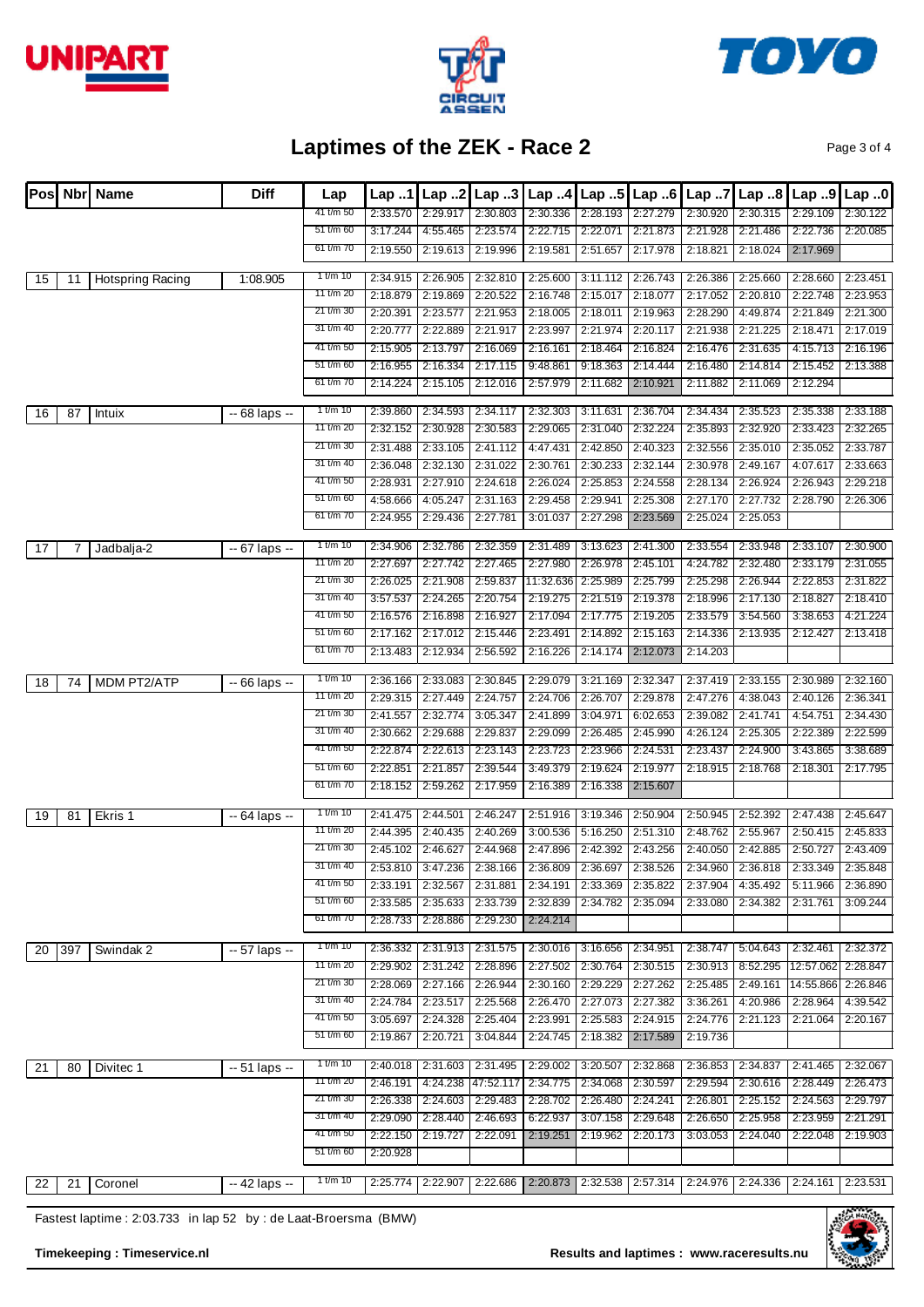





Page 3 of 4

| IPosl |     | <b>Nbrl Name</b>        | <b>Diff</b>    | Lap        | Lap.1    | Lap.2             | Lap.3     | Lap.4     | Lap 5    | Lap.6                                                                                     | Lap 7    | Lap.8    | Lap 9               | Lap 0    |
|-------|-----|-------------------------|----------------|------------|----------|-------------------|-----------|-----------|----------|-------------------------------------------------------------------------------------------|----------|----------|---------------------|----------|
|       |     |                         |                | 41 t/m 50  | 2:33.570 | 2:29.917          | 2:30.803  | 2:30.336  | 2:28.193 | 2:27.279                                                                                  | 2:30.920 | 2:30.315 | 2:29.109            | 2:30.122 |
|       |     |                         |                | 51 t/m 60  | 3:17.244 | 4:55.465          | 2:23.574  | 2:22.715  | 2:22.071 | 2:21.873                                                                                  | 2:21.928 | 2:21.486 | 2:22.736            | 2:20.085 |
|       |     |                         |                | 61 t/m 70  | 2:19.550 | 2:19.613          | 2:19.996  | 2:19.581  | 2:51.657 | 2:17.978                                                                                  | 2:18.821 | 2:18.024 | 2:17.969            |          |
| 15    | 11  | <b>Hotspring Racing</b> | 1:08.905       | 1 t/m 10   | 2:34.915 | 2:26.905          | 2:32.810  | 2:25.600  | 3:11.112 | 2:26.743                                                                                  | 2:26.386 | 2:25.660 | 2:28.660            | 2:23.451 |
|       |     |                         |                | 11 t/m 20  | 2:18.879 | 2:19.869          | 2:20.522  | 2:16.748  | 2:15.017 | 2:18.077                                                                                  | 2:17.052 | 2:20.810 | 2:22.748            | 2:23.953 |
|       |     |                         |                | 21 t/m 30  | 2:20.391 | 2:23.577          | 2:21.953  | 2:18.005  | 2:18.011 | 2:19.963                                                                                  | 2:28.290 | 4:49.874 | 2:21.849            | 2:21.300 |
|       |     |                         |                | 31 t/m 40  | 2:20.777 | 2:22.889          | 2:21.917  | 2:23.997  | 2:21.974 | 2:20.117                                                                                  | 2:21.938 | 2:21.225 | 2:18.471            | 2:17.019 |
|       |     |                         |                | 41 t/m 50  | 2:15.905 | 2:13.797          | 2:16.069  | 2:16.161  | 2:18.464 | 2:16.824                                                                                  | 2:16.476 | 2:31.635 | 4:15.713            | 2:16.196 |
|       |     |                         |                | 51 t/m 60  | 2:16.955 | 2:16.334          | 2:17.115  | 9:48.861  | 9:18.363 | 2:14.444                                                                                  | 2:16.480 | 2:14.814 | 2:15.452            | 2:13.388 |
|       |     |                         |                | 61 t/m 70  | 2:14.224 | 2:15.105          | 2:12.016  | 2:57.979  | 2:11.682 | 2:10.921                                                                                  | 2:11.882 | 2:11.069 | 2:12.294            |          |
| 16    | 87  | Intuix                  | $-68$ laps $-$ | 1 t/m 10   | 2:39.860 | 2:34.593          | 2:34.117  | 2:32.303  | 3:11.631 | 2:36.704                                                                                  | 2:34.434 | 2:35.523 | 2:35.338            | 2:33.188 |
|       |     |                         |                | 11 t/m 20  | 2:32.152 | 2:30.928          | 2:30.583  | 2:29.065  | 2:31.040 | 2:32.224                                                                                  | 2:35.893 | 2:32.920 | 2:33.423            | 2:32.265 |
|       |     |                         |                | 21 t/m 30  | 2:31.488 | 2:33.105          | 2:41.112  | 4:47.431  | 2:42.850 | 2:40.323                                                                                  | 2:32.556 | 2:35.010 | 2:35.052            | 2:33.787 |
|       |     |                         |                | 31 t/m 40  | 2:36.048 | 2:32.130          | 2:31.022  | 2:30.761  | 2:30.233 | 2:32.144                                                                                  | 2:30.978 | 2:49.167 | 4:07.617            | 2:33.663 |
|       |     |                         |                | 41 t/m 50  | 2:28.931 | 2:27.910          | 2:24.618  | 2:26.024  | 2:25.853 | 2:24.558                                                                                  | 2:28.134 | 2:26.924 | 2:26.943            | 2:29.218 |
|       |     |                         |                | 51 t/m 60  | 4:58.666 | 4:05.247          | 2:31.163  | 2:29.458  | 2:29.941 | 2:25.308                                                                                  | 2:27.170 | 2:27.732 | 2:28.790            | 2:26.306 |
|       |     |                         |                | 61 t/m 70  | 2:24.955 | 2:29.436          | 2:27.781  | 3:01.037  | 2:27.298 | 2:23.569                                                                                  | 2:25.024 | 2:25.053 |                     |          |
|       |     |                         |                |            |          |                   |           |           |          |                                                                                           |          |          |                     |          |
| 17    |     | Jadbalja-2              | $-67$ laps $-$ | 1 t/m 10   | 2:34.906 | 2:32.786          | 2:32.359  | 2:31.489  | 3:13.623 | 2:41.300                                                                                  | 2:33.554 | 2:33.948 | 2:33.107            | 2:30.900 |
|       |     |                         |                | 11 t/m 20  | 2:27.697 | 2:27.742          | 2:27.465  | 2:27.980  | 2:26.978 | 2:45.101                                                                                  | 4:24.782 | 2:32.480 | 2:33.179            | 2:31.055 |
|       |     |                         |                | 21 t/m 30  | 2:26.025 | 2:21.908          | 2:59.837  | 11:32.636 | 2:25.989 | 2:25.799                                                                                  | 2:25.298 | 2:26.944 | 2:22.853            | 2:31.822 |
|       |     |                         |                | 31 t/m 40  | 3:57.537 | 2:24.265          | 2:20.754  | 2:19.275  | 2:21.519 | 2:19.378                                                                                  | 2:18.996 | 2:17.130 | 2:18.827            | 2:18.410 |
|       |     |                         |                | 41 t/m 50  | 2:16.576 | 2:16.898          | 2:16.927  | 2:17.094  | 2:17.775 | 2:19.205                                                                                  | 2:33.579 | 3:54.560 | 3:38.653            | 4:21.224 |
|       |     |                         |                | 51 t/m 60  | 2:17.162 | 2:17.012          | 2:15.446  | 2:23.491  | 2:14.892 | 2:15.163                                                                                  | 2:14.336 | 2:13.935 | 2:12.427            | 2:13.418 |
|       |     |                         |                | 61 t/m 70  | 2:13.483 | 2:12.934          | 2:56.592  | 2:16.226  | 2:14.174 | 2:12.073                                                                                  | 2:14.203 |          |                     |          |
| 18    | 74  | <b>MDM PT2/ATP</b>      | $-66$ laps $-$ | 1 t/m 10   | 2:36.166 | 2:33.083          | 2:30.845  | 2:29.079  | 3:21.169 | 2:32.347                                                                                  | 2:37.419 | 2:33.155 | 2:30.989            | 2:32.160 |
|       |     |                         |                | 11 t/m 20  | 2:29.315 | 2:27.449          | 2:24.757  | 2:24.706  | 2:26.707 | 2:29.878                                                                                  | 2:47.276 | 4:38.043 | 2:40.126            | 2:36.341 |
|       |     |                         |                | 21 t/m 30  | 2:41.557 | 2:32.774          | 3:05.347  | 2:41.899  | 3:04.971 | 6:02.653                                                                                  | 2:39.082 | 2:41.741 | 4:54.751            | 2:34.430 |
|       |     |                         |                | 31 t/m 40  | 2:30.662 | 2:29.688          | 2:29.837  | 2:29.099  | 2:26.485 | 2:45.990                                                                                  | 4:26.124 | 2:25.305 | 2:22.389            | 2:22.599 |
|       |     |                         |                | 41 t/m 50  | 2:22.874 | 2:22.613          | 2:23.143  | 2:23.723  | 2:23.966 | 2:24.531                                                                                  | 2:23.437 | 2:24.900 | 3:43.865            | 3:38.689 |
|       |     |                         |                | 51 t/m 60  | 2:22.851 | 2:21.857          | 2:39.544  | 3:49.379  | 2:19.624 | 2:19.977                                                                                  | 2:18.915 | 2:18.768 | 2:18.301            | 2:17.795 |
|       |     |                         |                | 61 t/m 70  | 2:18.152 | 2:59.262          | 2:17.959  | 2:16.389  | 2:16.338 | 2:15.607                                                                                  |          |          |                     |          |
|       |     |                         | $-64$ laps $-$ | 1 t/m $10$ | 2:41.475 | 2:44.501          | 2:46.247  | 2:51.916  | 3:19.346 | 2:50.904                                                                                  | 2:50.945 | 2:52.392 | 2:47.438            | 2:45.647 |
| 19    | 81  | Ekris 1                 |                | 11 t/m 20  | 2:44.395 | 2:40.435          | 2:40.269  | 3:00.536  | 5:16.250 | 2:51.310                                                                                  | 2:48.762 | 2:55.967 | 2:50.415            | 2:45.833 |
|       |     |                         |                | 21 t/m 30  | 2:45.102 | 2:46.627          | 2:44.968  | 2:47.896  | 2:42.392 | 2:43.256                                                                                  | 2:40.050 | 2:42.885 | 2:50.727            | 2:43.409 |
|       |     |                         |                | 31 t/m 40  |          |                   |           |           |          | 2:53.810 3:47.236 2:38.166 2:36.809 2:36.697 2:38.526 2:34.960 2:36.818 2:33.349 2:35.848 |          |          |                     |          |
|       |     |                         |                | 41 t/m 50  | 2:33.191 | 2:32.567          | 2:31.881  | 2:34.191  | 2:33.369 | 2:35.822                                                                                  | 2:37.904 | 4:35.492 | 5:11.966            | 2:36.890 |
|       |     |                         |                | 51 t/m 60  | 2:33.585 | 2:35.633          | 2:33.739  | 2:32.839  | 2:34.782 | 2:35.094                                                                                  | 2:33.080 | 2:34.382 | 2:31.761            | 3:09.244 |
|       |     |                         |                | 61 t/m 70  | 2:28.733 | 2:28.886          | 2:29.230  | 2:24.214  |          |                                                                                           |          |          |                     |          |
|       |     |                         |                | 1 t/m 10   | 2:36.332 | 2:31.913          | 2:31.575  | 2:30.016  | 3:16.656 | 2:34.951                                                                                  | 2:38.747 | 5:04.643 | 2:32.461            | 2:32.372 |
| 20    | 397 | Swindak 2               | $-57$ laps $-$ | 11 t/m 20  | 2:29.902 | 2:31.242          | 2:28.896  | 2:27.502  | 2:30.764 | 2:30.515                                                                                  | 2:30.913 | 8:52.295 | 12:57.062           | 2:28.847 |
|       |     |                         |                | 21 t/m 30  | 2:28.069 | 2:27.166          | 2:26.944  | 2:30.160  | 2:29.229 | 2:27.262                                                                                  | 2:25.485 | 2:49.161 | 14:55.866           | 2:26.846 |
|       |     |                         |                | 31 t/m 40  | 2:24.784 | 2:23.517          | 2:25.568  | 2:26.470  | 2:27.073 | 2:27.382                                                                                  | 3:36.261 | 4:20.986 | 2:28.964            | 4:39.542 |
|       |     |                         |                | 41 t/m 50  | 3:05.697 | 2:24.328          | 2:25.404  | 2:23.991  | 2:25.583 | 2:24.915                                                                                  | 2:24.776 | 2:21.123 | 2:21.064            | 2:20.167 |
|       |     |                         |                | 51 t/m 60  | 2:19.867 | 2:20.721          | 3:04.844  | 2:24.745  | 2:18.382 | 2:17.589                                                                                  | 2:19.736 |          |                     |          |
|       |     |                         |                |            |          |                   |           |           |          |                                                                                           |          |          |                     |          |
| 21    | 80  | Divitec 1               | $-51$ laps $-$ | 1 t/m $10$ |          | 2:40.018 2:31.603 | 2:31.495  | 2:29.002  | 3:20.507 | 2:32.868                                                                                  | 2:36.853 | 2:34.837 | 2:41.465            | 2:32.067 |
|       |     |                         |                | 11 t/m 20  | 2:46.191 | 4:24.238          | 47:52.117 | 2:34.775  | 2:34.068 | 2:30.597                                                                                  | 2:29.594 | 2:30.616 | 2:28.449            | 2:26.473 |
|       |     |                         |                | 21 t/m 30  | 2:26.338 | 2:24.603          | 2:29.483  | 2:28.702  | 2:26.480 | 2:24.241                                                                                  | 2:26.801 | 2:25.152 | 2:24.563            | 2:29.797 |
|       |     |                         |                | 31 t/m 40  | 2:29.090 | 2:28.440          | 2:46.693  | 6:22.937  | 3:07.158 | 2:29.648                                                                                  | 2:26.650 | 2:25.958 | 2:23.959            | 2:21.291 |
|       |     |                         |                | 41 t/m 50  | 2:22.150 | 2:19.727          | 2:22.091  | 2:19.251  | 2:19.962 | 2:20.173                                                                                  | 3:03.053 | 2:24.040 | 2:22.048            | 2:19.903 |
|       |     |                         |                | 51 t/m 60  | 2:20.928 |                   |           |           |          |                                                                                           |          |          |                     |          |
| 22    | 21  | Coronel                 | -- 42 laps --  | 1 t/m $10$ |          |                   |           |           |          | 2:25.774 2:22.907 2:22.686 2:20.873 2:32.538 2:57.314 2:24.976 2:24.336                   |          |          | $2:24.161$ 2:23.531 |          |
|       |     |                         |                |            |          |                   |           |           |          |                                                                                           |          |          |                     |          |